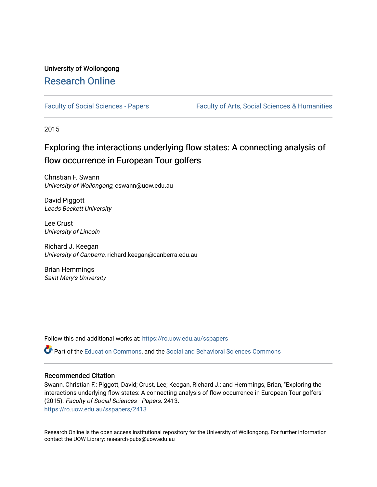# University of Wollongong [Research Online](https://ro.uow.edu.au/)

[Faculty of Social Sciences - Papers](https://ro.uow.edu.au/sspapers) Faculty of Arts, Social Sciences & Humanities

2015

# Exploring the interactions underlying flow states: A connecting analysis of flow occurrence in European Tour golfers

Christian F. Swann University of Wollongong, cswann@uow.edu.au

David Piggott Leeds Beckett University

Lee Crust University of Lincoln

Richard J. Keegan University of Canberra, richard.keegan@canberra.edu.au

Brian Hemmings Saint Mary's University

Follow this and additional works at: [https://ro.uow.edu.au/sspapers](https://ro.uow.edu.au/sspapers?utm_source=ro.uow.edu.au%2Fsspapers%2F2413&utm_medium=PDF&utm_campaign=PDFCoverPages) 

Part of the [Education Commons](http://network.bepress.com/hgg/discipline/784?utm_source=ro.uow.edu.au%2Fsspapers%2F2413&utm_medium=PDF&utm_campaign=PDFCoverPages), and the [Social and Behavioral Sciences Commons](http://network.bepress.com/hgg/discipline/316?utm_source=ro.uow.edu.au%2Fsspapers%2F2413&utm_medium=PDF&utm_campaign=PDFCoverPages) 

#### Recommended Citation

Swann, Christian F.; Piggott, David; Crust, Lee; Keegan, Richard J.; and Hemmings, Brian, "Exploring the interactions underlying flow states: A connecting analysis of flow occurrence in European Tour golfers" (2015). Faculty of Social Sciences - Papers. 2413. [https://ro.uow.edu.au/sspapers/2413](https://ro.uow.edu.au/sspapers/2413?utm_source=ro.uow.edu.au%2Fsspapers%2F2413&utm_medium=PDF&utm_campaign=PDFCoverPages)

Research Online is the open access institutional repository for the University of Wollongong. For further information contact the UOW Library: research-pubs@uow.edu.au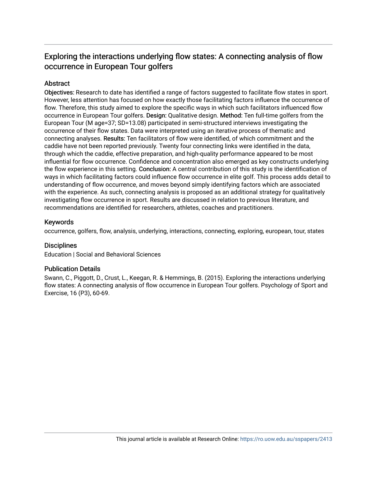# Exploring the interactions underlying flow states: A connecting analysis of flow occurrence in European Tour golfers

## **Abstract**

Objectives: Research to date has identified a range of factors suggested to facilitate flow states in sport. However, less attention has focused on how exactly those facilitating factors influence the occurrence of flow. Therefore, this study aimed to explore the specific ways in which such facilitators influenced flow occurrence in European Tour golfers. Design: Qualitative design. Method: Ten full-time golfers from the European Tour (M age=37; SD=13.08) participated in semi-structured interviews investigating the occurrence of their flow states. Data were interpreted using an iterative process of thematic and connecting analyses. Results: Ten facilitators of flow were identified, of which commitment and the caddie have not been reported previously. Twenty four connecting links were identified in the data, through which the caddie, effective preparation, and high-quality performance appeared to be most influential for flow occurrence. Confidence and concentration also emerged as key constructs underlying the flow experience in this setting. Conclusion: A central contribution of this study is the identification of ways in which facilitating factors could influence flow occurrence in elite golf. This process adds detail to understanding of flow occurrence, and moves beyond simply identifying factors which are associated with the experience. As such, connecting analysis is proposed as an additional strategy for qualitatively investigating flow occurrence in sport. Results are discussed in relation to previous literature, and recommendations are identified for researchers, athletes, coaches and practitioners.

### Keywords

occurrence, golfers, flow, analysis, underlying, interactions, connecting, exploring, european, tour, states

#### **Disciplines**

Education | Social and Behavioral Sciences

### Publication Details

Swann, C., Piggott, D., Crust, L., Keegan, R. & Hemmings, B. (2015). Exploring the interactions underlying flow states: A connecting analysis of flow occurrence in European Tour golfers. Psychology of Sport and Exercise, 16 (P3), 60-69.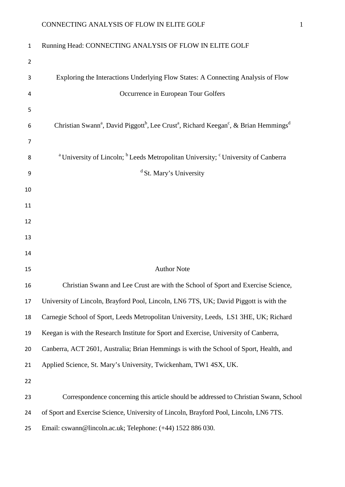| $\mathbf{1}$   | Running Head: CONNECTING ANALYSIS OF FLOW IN ELITE GOLF                                                                                          |
|----------------|--------------------------------------------------------------------------------------------------------------------------------------------------|
| $\overline{2}$ |                                                                                                                                                  |
| 3              | Exploring the Interactions Underlying Flow States: A Connecting Analysis of Flow                                                                 |
| 4              | Occurrence in European Tour Golfers                                                                                                              |
| 5              |                                                                                                                                                  |
| 6              | Christian Swann <sup>a</sup> , David Piggott <sup>b</sup> , Lee Crust <sup>a</sup> , Richard Keegan <sup>c</sup> , & Brian Hemmings <sup>d</sup> |
| 7              |                                                                                                                                                  |
| 8              | <sup>a</sup> University of Lincoln; <sup>b</sup> Leeds Metropolitan University; <sup>c</sup> University of Canberra                              |
| 9              | <sup>d</sup> St. Mary's University                                                                                                               |
| 10             |                                                                                                                                                  |
| 11             |                                                                                                                                                  |
| 12             |                                                                                                                                                  |
| 13             |                                                                                                                                                  |
| 14             |                                                                                                                                                  |
| 15             | <b>Author Note</b>                                                                                                                               |
| 16             | Christian Swann and Lee Crust are with the School of Sport and Exercise Science,                                                                 |
| 17             | University of Lincoln, Brayford Pool, Lincoln, LN6 7TS, UK; David Piggott is with the                                                            |
| 18             | Carnegie School of Sport, Leeds Metropolitan University, Leeds, LS1 3HE, UK; Richard                                                             |
| 19             | Keegan is with the Research Institute for Sport and Exercise, University of Canberra,                                                            |
| 20             | Canberra, ACT 2601, Australia; Brian Hemmings is with the School of Sport, Health, and                                                           |
| 21             | Applied Science, St. Mary's University, Twickenham, TW1 4SX, UK.                                                                                 |
| 22             |                                                                                                                                                  |
| 23             | Correspondence concerning this article should be addressed to Christian Swann, School                                                            |
| 24             | of Sport and Exercise Science, University of Lincoln, Brayford Pool, Lincoln, LN6 7TS.                                                           |
| 25             | Email: cswann@lincoln.ac.uk; Telephone: (+44) 1522 886 030.                                                                                      |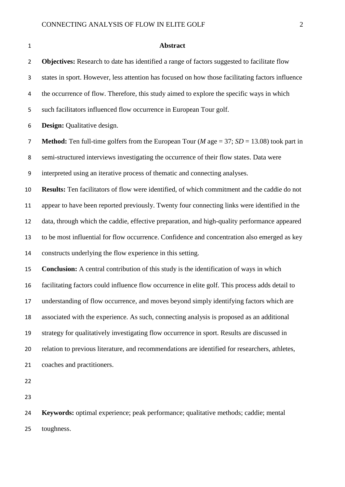| $\mathbf 1$    | <b>Abstract</b>                                                                                              |  |  |  |
|----------------|--------------------------------------------------------------------------------------------------------------|--|--|--|
| $\overline{2}$ | Objectives: Research to date has identified a range of factors suggested to facilitate flow                  |  |  |  |
| 3              | states in sport. However, less attention has focused on how those facilitating factors influence             |  |  |  |
| 4              | the occurrence of flow. Therefore, this study aimed to explore the specific ways in which                    |  |  |  |
| 5              | such facilitators influenced flow occurrence in European Tour golf.                                          |  |  |  |
| 6              | Design: Qualitative design.                                                                                  |  |  |  |
| $\overline{7}$ | <b>Method:</b> Ten full-time golfers from the European Tour ( <i>M</i> age = 37; $SD = 13.08$ ) took part in |  |  |  |
| $\,8\,$        | semi-structured interviews investigating the occurrence of their flow states. Data were                      |  |  |  |
| 9              | interpreted using an iterative process of thematic and connecting analyses.                                  |  |  |  |
| 10             | <b>Results:</b> Ten facilitators of flow were identified, of which commitment and the caddie do not          |  |  |  |
| 11             | appear to have been reported previously. Twenty four connecting links were identified in the                 |  |  |  |
| 12             | data, through which the caddie, effective preparation, and high-quality performance appeared                 |  |  |  |
| 13             | to be most influential for flow occurrence. Confidence and concentration also emerged as key                 |  |  |  |
| 14             | constructs underlying the flow experience in this setting.                                                   |  |  |  |
| 15             | Conclusion: A central contribution of this study is the identification of ways in which                      |  |  |  |
| 16             | facilitating factors could influence flow occurrence in elite golf. This process adds detail to              |  |  |  |
| 17             | understanding of flow occurrence, and moves beyond simply identifying factors which are                      |  |  |  |
| 18             | associated with the experience. As such, connecting analysis is proposed as an additional                    |  |  |  |
| 19             | strategy for qualitatively investigating flow occurrence in sport. Results are discussed in                  |  |  |  |
| 20             | relation to previous literature, and recommendations are identified for researchers, athletes,               |  |  |  |
| 21             | coaches and practitioners.                                                                                   |  |  |  |
| 22             |                                                                                                              |  |  |  |
| 23             |                                                                                                              |  |  |  |
| 24             | Keywords: optimal experience; peak performance; qualitative methods; caddie; mental                          |  |  |  |

toughness.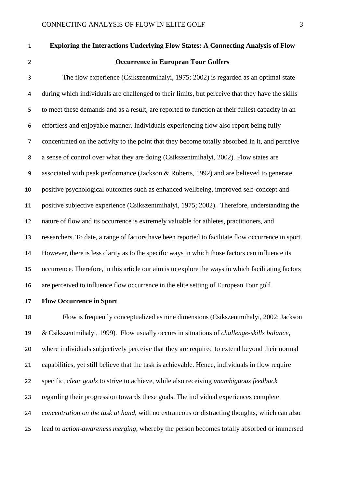| $\mathbf{1}$ | <b>Exploring the Interactions Underlying Flow States: A Connecting Analysis of Flow</b>             |
|--------------|-----------------------------------------------------------------------------------------------------|
| 2            | <b>Occurrence in European Tour Golfers</b>                                                          |
| 3            | The flow experience (Csikszentmihalyi, 1975; 2002) is regarded as an optimal state                  |
| 4            | during which individuals are challenged to their limits, but perceive that they have the skills     |
| 5            | to meet these demands and as a result, are reported to function at their fullest capacity in an     |
| 6            | effortless and enjoyable manner. Individuals experiencing flow also report being fully              |
| 7            | concentrated on the activity to the point that they become totally absorbed in it, and perceive     |
| 8            | a sense of control over what they are doing (Csikszentmihalyi, 2002). Flow states are               |
| 9            | associated with peak performance (Jackson & Roberts, 1992) and are believed to generate             |
| 10           | positive psychological outcomes such as enhanced wellbeing, improved self-concept and               |
| 11           | positive subjective experience (Csikszentmihalyi, 1975; 2002). Therefore, understanding the         |
| 12           | nature of flow and its occurrence is extremely valuable for athletes, practitioners, and            |
| 13           | researchers. To date, a range of factors have been reported to facilitate flow occurrence in sport. |
| 14           | However, there is less clarity as to the specific ways in which those factors can influence its     |
| 15           | occurrence. Therefore, in this article our aim is to explore the ways in which facilitating factors |
| 16           | are perceived to influence flow occurrence in the elite setting of European Tour golf.              |

**Flow Occurrence in Sport**

 Flow is frequently conceptualized as nine dimensions (Csikszentmihalyi, 2002; Jackson & Csikszentmihalyi, 1999). Flow usually occurs in situations of *challenge-skills balance,*  where individuals subjectively perceive that they are required to extend beyond their normal capabilities, yet still believe that the task is achievable. Hence, individuals in flow require specific, *clear goals* to strive to achieve, while also receiving *unambiguous feedback*  regarding their progression towards these goals. The individual experiences complete *concentration on the task at hand*, with no extraneous or distracting thoughts, which can also lead to *action-awareness merging*, whereby the person becomes totally absorbed or immersed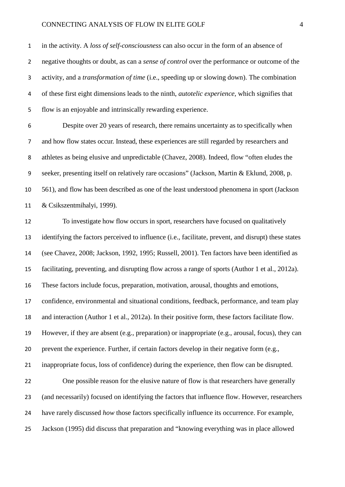in the activity. A *loss of self-consciousness* can also occur in the form of an absence of negative thoughts or doubt, as can a *sense of control* over the performance or outcome of the activity, and a *transformation of time* (i.e., speeding up or slowing down). The combination of these first eight dimensions leads to the ninth, *autotelic experience,* which signifies that flow is an enjoyable and intrinsically rewarding experience.

 Despite over 20 years of research, there remains uncertainty as to specifically when and how flow states occur. Instead, these experiences are still regarded by researchers and athletes as being elusive and unpredictable (Chavez, 2008). Indeed, flow "often eludes the seeker, presenting itself on relatively rare occasions" (Jackson, Martin & Eklund, 2008, p. 561), and flow has been described as one of the least understood phenomena in sport (Jackson & Csikszentmihalyi, 1999).

 To investigate how flow occurs in sport, researchers have focused on qualitatively identifying the factors perceived to influence (i.e., facilitate, prevent, and disrupt) these states (see Chavez, 2008; Jackson, 1992, 1995; Russell, 2001). Ten factors have been identified as facilitating, preventing, and disrupting flow across a range of sports (Author 1 et al., 2012a). These factors include focus, preparation, motivation, arousal, thoughts and emotions, confidence, environmental and situational conditions, feedback, performance, and team play and interaction (Author 1 et al., 2012a). In their positive form, these factors facilitate flow. However, if they are absent (e.g., preparation) or inappropriate (e.g., arousal, focus), they can prevent the experience. Further, if certain factors develop in their negative form (e.g., inappropriate focus, loss of confidence) during the experience, then flow can be disrupted. One possible reason for the elusive nature of flow is that researchers have generally (and necessarily) focused on identifying the factors that influence flow. However, researchers have rarely discussed *how* those factors specifically influence its occurrence. For example, Jackson (1995) did discuss that preparation and "knowing everything was in place allowed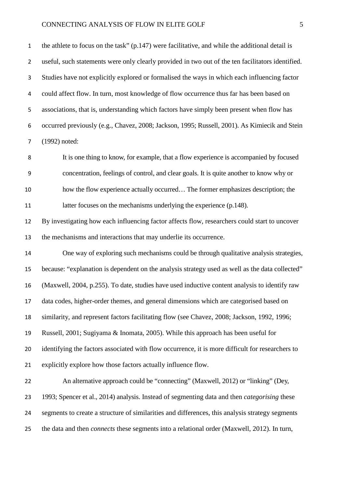the athlete to focus on the task" (p.147) were facilitative, and while the additional detail is useful, such statements were only clearly provided in two out of the ten facilitators identified. Studies have not explicitly explored or formalised the ways in which each influencing factor could affect flow. In turn, most knowledge of flow occurrence thus far has been based on associations, that is, understanding which factors have simply been present when flow has occurred previously (e.g., Chavez, 2008; Jackson, 1995; Russell, 2001). As Kimiecik and Stein (1992) noted:

 It is one thing to know, for example, that a flow experience is accompanied by focused concentration, feelings of control, and clear goals. It is quite another to know why or how the flow experience actually occurred… The former emphasizes description; the 11 latter focuses on the mechanisms underlying the experience (p.148).

 By investigating how each influencing factor affects flow, researchers could start to uncover the mechanisms and interactions that may underlie its occurrence.

 One way of exploring such mechanisms could be through qualitative analysis strategies, because: "explanation is dependent on the analysis strategy used as well as the data collected" (Maxwell, 2004, p.255). To date, studies have used inductive content analysis to identify raw data codes, higher-order themes, and general dimensions which are categorised based on similarity, and represent factors facilitating flow (see Chavez, 2008; Jackson, 1992, 1996; Russell, 2001; Sugiyama & Inomata, 2005). While this approach has been useful for 20 identifying the factors associated with flow occurrence, it is more difficult for researchers to explicitly explore how those factors actually influence flow.

 An alternative approach could be "connecting" (Maxwell, 2012) or "linking" (Dey, 1993; Spencer et al., 2014) analysis. Instead of segmenting data and then *categorising* these segments to create a structure of similarities and differences, this analysis strategy segments the data and then *connects* these segments into a relational order (Maxwell, 2012). In turn,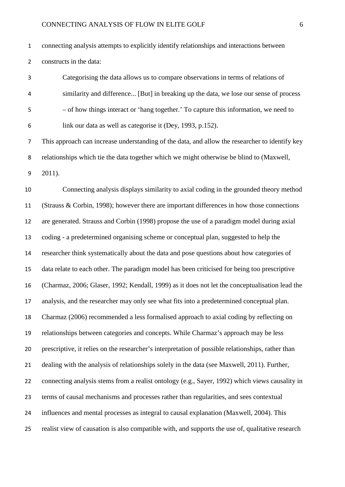connecting analysis attempts to explicitly identify relationships and interactions between constructs in the data:

 Categorising the data allows us to compare observations in terms of relations of similarity and difference... [But] in breaking up the data, we lose our sense of process – of how things interact or 'hang together.' To capture this information, we need to link our data as well as categorise it (Dey, 1993, p.152).

 This approach can increase understanding of the data, and allow the researcher to identify key relationships which tie the data together which we might otherwise be blind to (Maxwell,

2011).

 Connecting analysis displays similarity to axial coding in the grounded theory method (Strauss & Corbin, 1998); however there are important differences in how those connections are generated. Strauss and Corbin (1998) propose the use of a paradigm model during axial coding - a predetermined organising scheme or conceptual plan, suggested to help the researcher think systematically about the data and pose questions about how categories of data relate to each other. The paradigm model has been criticised for being too prescriptive (Charmaz, 2006; Glaser, 1992; Kendall, 1999) as it does not let the conceptualisation lead the analysis, and the researcher may only see what fits into a predetermined conceptual plan. Charmaz (2006) recommended a less formalised approach to axial coding by reflecting on relationships between categories and concepts. While Charmaz's approach may be less prescriptive, it relies on the researcher's interpretation of possible relationships, rather than dealing with the analysis of relationships solely in the data (see Maxwell, 2011). Further, connecting analysis stems from a realist ontology (e.g., Sayer, 1992) which views causality in terms of causal mechanisms and processes rather than regularities, and sees contextual influences and mental processes as integral to causal explanation (Maxwell, 2004). This realist view of causation is also compatible with, and supports the use of, qualitative research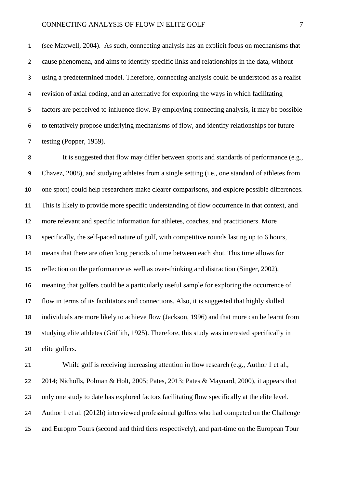(see Maxwell, 2004). As such, connecting analysis has an explicit focus on mechanisms that cause phenomena, and aims to identify specific links and relationships in the data, without using a predetermined model. Therefore, connecting analysis could be understood as a realist revision of axial coding, and an alternative for exploring the ways in which facilitating factors are perceived to influence flow. By employing connecting analysis, it may be possible to tentatively propose underlying mechanisms of flow, and identify relationships for future testing (Popper, 1959).

 It is suggested that flow may differ between sports and standards of performance (e.g., Chavez, 2008), and studying athletes from a single setting (i.e., one standard of athletes from one sport) could help researchers make clearer comparisons, and explore possible differences. This is likely to provide more specific understanding of flow occurrence in that context, and more relevant and specific information for athletes, coaches, and practitioners. More specifically, the self-paced nature of golf, with competitive rounds lasting up to 6 hours, means that there are often long periods of time between each shot. This time allows for reflection on the performance as well as over-thinking and distraction (Singer, 2002), meaning that golfers could be a particularly useful sample for exploring the occurrence of flow in terms of its facilitators and connections. Also, it is suggested that highly skilled individuals are more likely to achieve flow (Jackson, 1996) and that more can be learnt from studying elite athletes (Griffith, 1925). Therefore, this study was interested specifically in elite golfers.

 While golf is receiving increasing attention in flow research (e.g., Author 1 et al., 2014; Nicholls, Polman & Holt, 2005; Pates, 2013; Pates & Maynard, 2000), it appears that only one study to date has explored factors facilitating flow specifically at the elite level. Author 1 et al. (2012b) interviewed professional golfers who had competed on the Challenge and Europro Tours (second and third tiers respectively), and part-time on the European Tour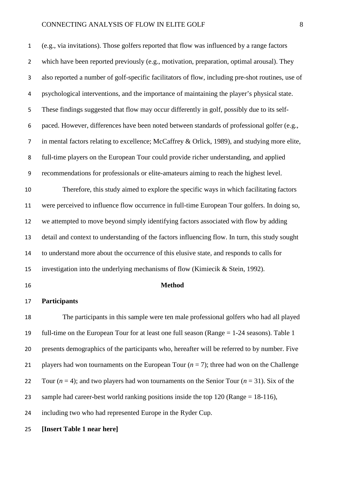(e.g., via invitations). Those golfers reported that flow was influenced by a range factors which have been reported previously (e.g., motivation, preparation, optimal arousal). They also reported a number of golf-specific facilitators of flow, including pre-shot routines, use of psychological interventions, and the importance of maintaining the player's physical state. These findings suggested that flow may occur differently in golf, possibly due to its self- paced. However, differences have been noted between standards of professional golfer (e.g., in mental factors relating to excellence; McCaffrey & Orlick, 1989), and studying more elite, full-time players on the European Tour could provide richer understanding, and applied recommendations for professionals or elite-amateurs aiming to reach the highest level. Therefore, this study aimed to explore the specific ways in which facilitating factors were perceived to influence flow occurrence in full-time European Tour golfers. In doing so, we attempted to move beyond simply identifying factors associated with flow by adding detail and context to understanding of the factors influencing flow. In turn, this study sought to understand more about the occurrence of this elusive state, and responds to calls for

investigation into the underlying mechanisms of flow (Kimiecik & Stein, 1992).

#### **Method**

### **Participants**

 The participants in this sample were ten male professional golfers who had all played full-time on the European Tour for at least one full season (Range = 1-24 seasons). Table 1 presents demographics of the participants who, hereafter will be referred to by number. Five 21 players had won tournaments on the European Tour  $(n = 7)$ ; three had won on the Challenge 22 Tour  $(n = 4)$ ; and two players had won tournaments on the Senior Tour  $(n = 31)$ . Six of the sample had career-best world ranking positions inside the top 120 (Range = 18-116), including two who had represented Europe in the Ryder Cup.

**[Insert Table 1 near here]**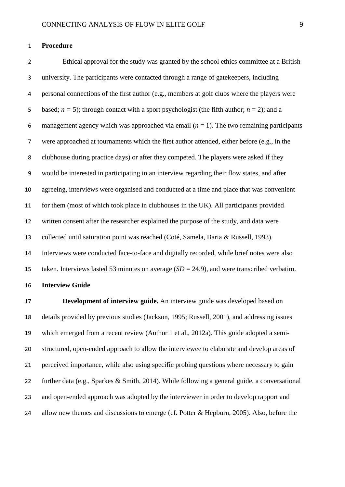#### **Procedure**

 Ethical approval for the study was granted by the school ethics committee at a British university. The participants were contacted through a range of gatekeepers, including personal connections of the first author (e.g., members at golf clubs where the players were 5 based;  $n = 5$ ); through contact with a sport psychologist (the fifth author;  $n = 2$ ); and a 6 management agency which was approached via email  $(n = 1)$ . The two remaining participants were approached at tournaments which the first author attended, either before (e.g., in the clubhouse during practice days) or after they competed. The players were asked if they would be interested in participating in an interview regarding their flow states, and after agreeing, interviews were organised and conducted at a time and place that was convenient for them (most of which took place in clubhouses in the UK). All participants provided written consent after the researcher explained the purpose of the study, and data were collected until saturation point was reached (Coté, Samela, Baria & Russell, 1993). Interviews were conducted face-to-face and digitally recorded, while brief notes were also taken. Interviews lasted 53 minutes on average (*SD* = 24.9), and were transcribed verbatim.

**Interview Guide** 

 **Development of interview guide.** An interview guide was developed based on details provided by previous studies (Jackson, 1995; Russell, 2001), and addressing issues which emerged from a recent review (Author 1 et al., 2012a). This guide adopted a semi- structured, open-ended approach to allow the interviewee to elaborate and develop areas of perceived importance, while also using specific probing questions where necessary to gain further data (e.g., Sparkes & Smith, 2014). While following a general guide, a conversational and open-ended approach was adopted by the interviewer in order to develop rapport and 24 allow new themes and discussions to emerge (cf. Potter & Hepburn, 2005). Also, before the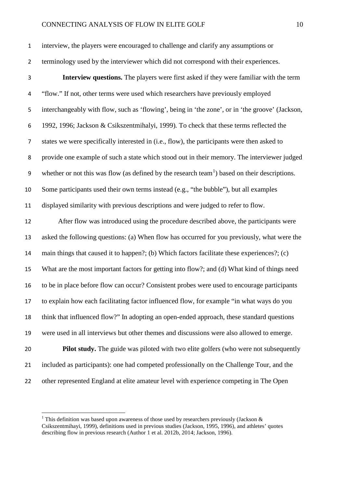| interview, the players were encouraged to challenge and clarify any assumptions or   |
|--------------------------------------------------------------------------------------|
| terminology used by the interviewer which did not correspond with their experiences. |

 **Interview questions.** The players were first asked if they were familiar with the term "flow." If not, other terms were used which researchers have previously employed interchangeably with flow, such as 'flowing', being in 'the zone', or in 'the groove' (Jackson, 1992, 1996; Jackson & Csikszentmihalyi, 1999)*.* To check that these terms reflected the states we were specifically interested in (i.e., flow), the participants were then asked to provide one example of such a state which stood out in their memory. The interviewer judged 9 whether or not this was flow (as defined by the research team<sup>[1](#page-11-0)</sup>) based on their descriptions. Some participants used their own terms instead (e.g., "the bubble"), but all examples displayed similarity with previous descriptions and were judged to refer to flow.

 After flow was introduced using the procedure described above, the participants were asked the following questions: (a) When flow has occurred for you previously, what were the main things that caused it to happen?; (b) Which factors facilitate these experiences?; (c) What are the most important factors for getting into flow?; and (d) What kind of things need to be in place before flow can occur? Consistent probes were used to encourage participants to explain how each facilitating factor influenced flow, for example "in what ways do you think that influenced flow?" In adopting an open-ended approach, these standard questions were used in all interviews but other themes and discussions were also allowed to emerge. **Pilot study.** The guide was piloted with two elite golfers (who were not subsequently included as participants): one had competed professionally on the Challenge Tour, and the other represented England at elite amateur level with experience competing in The Open

<span id="page-11-0"></span><sup>&</sup>lt;sup>1</sup> This definition was based upon awareness of those used by researchers previously (Jackson  $\&$ Csikszentmihayi, 1999), definitions used in previous studies (Jackson, 1995, 1996), and athletes' quotes describing flow in previous research (Author 1 et al. 2012b, 2014; Jackson, 1996).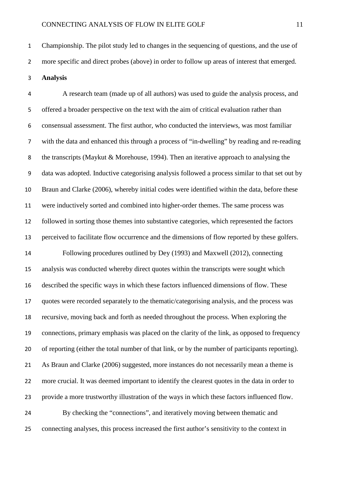Championship. The pilot study led to changes in the sequencing of questions, and the use of more specific and direct probes (above) in order to follow up areas of interest that emerged. **Analysis**

 A research team (made up of all authors) was used to guide the analysis process, and offered a broader perspective on the text with the aim of critical evaluation rather than consensual assessment. The first author, who conducted the interviews, was most familiar with the data and enhanced this through a process of "in-dwelling" by reading and re-reading the transcripts (Maykut & Morehouse, 1994). Then an iterative approach to analysing the data was adopted. Inductive categorising analysis followed a process similar to that set out by Braun and Clarke (2006), whereby initial codes were identified within the data, before these were inductively sorted and combined into higher-order themes. The same process was followed in sorting those themes into substantive categories, which represented the factors perceived to facilitate flow occurrence and the dimensions of flow reported by these golfers. Following procedures outlined by Dey (1993) and Maxwell (2012), connecting analysis was conducted whereby direct quotes within the transcripts were sought which described the specific ways in which these factors influenced dimensions of flow. These quotes were recorded separately to the thematic/categorising analysis, and the process was recursive, moving back and forth as needed throughout the process. When exploring the connections, primary emphasis was placed on the clarity of the link, as opposed to frequency of reporting (either the total number of that link, or by the number of participants reporting). As Braun and Clarke (2006) suggested, more instances do not necessarily mean a theme is more crucial. It was deemed important to identify the clearest quotes in the data in order to provide a more trustworthy illustration of the ways in which these factors influenced flow. By checking the "connections", and iteratively moving between thematic and connecting analyses, this process increased the first author's sensitivity to the context in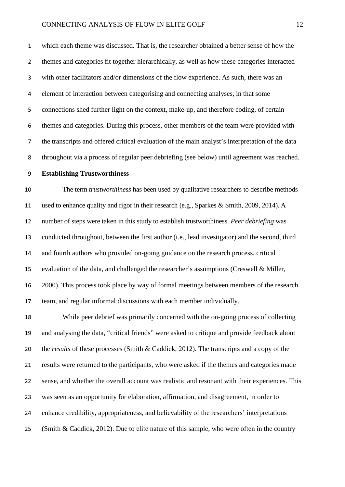which each theme was discussed. That is, the researcher obtained a better sense of how the themes and categories fit together hierarchically, as well as how these categories interacted with other facilitators and/or dimensions of the flow experience. As such, there was an element of interaction between categorising and connecting analyses, in that some connections shed further light on the context, make-up, and therefore coding, of certain themes and categories. During this process, other members of the team were provided with the transcripts and offered critical evaluation of the main analyst's interpretation of the data throughout via a process of regular peer debriefing (see below) until agreement was reached.

#### **Establishing Trustworthiness**

 The term *trustworthiness* has been used by qualitative researchers to describe methods used to enhance quality and rigor in their research (e.g., Sparkes & Smith, 2009, 2014). A number of steps were taken in this study to establish trustworthiness. *Peer debriefing* was conducted throughout, between the first author (i.e., lead investigator) and the second, third and fourth authors who provided on-going guidance on the research process, critical evaluation of the data, and challenged the researcher's assumptions (Creswell & Miller, 2000). This process took place by way of formal meetings between members of the research team, and regular informal discussions with each member individually.

 While peer debrief was primarily concerned with the on-going process of collecting and analysing the data, "critical friends" were asked to critique and provide feedback about the *results* of these processes (Smith & Caddick, 2012). The transcripts and a copy of the results were returned to the participants, who were asked if the themes and categories made sense, and whether the overall account was realistic and resonant with their experiences. This was seen as an opportunity for elaboration, affirmation, and disagreement, in order to enhance credibility, appropriateness, and believability of the researchers' interpretations (Smith & Caddick, 2012). Due to elite nature of this sample, who were often in the country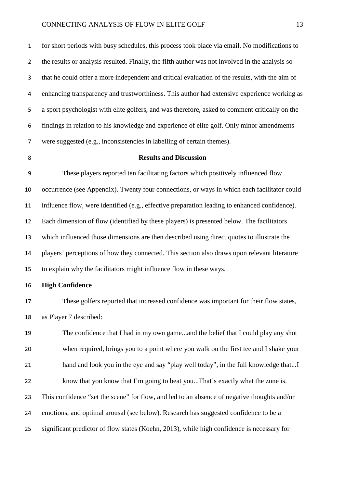for short periods with busy schedules, this process took place via email. No modifications to the results or analysis resulted. Finally, the fifth author was not involved in the analysis so that he could offer a more independent and critical evaluation of the results, with the aim of enhancing transparency and trustworthiness. This author had extensive experience working as a sport psychologist with elite golfers, and was therefore, asked to comment critically on the findings in relation to his knowledge and experience of elite golf. Only minor amendments were suggested (e.g., inconsistencies in labelling of certain themes).

#### **Results and Discussion**

 These players reported ten facilitating factors which positively influenced flow occurrence (see Appendix). Twenty four connections, or ways in which each facilitator could influence flow, were identified (e.g., effective preparation leading to enhanced confidence). Each dimension of flow (identified by these players) is presented below. The facilitators which influenced those dimensions are then described using direct quotes to illustrate the players' perceptions of how they connected. This section also draws upon relevant literature to explain why the facilitators might influence flow in these ways.

#### **High Confidence**

 These golfers reported that increased confidence was important for their flow states, as Player 7 described:

 The confidence that I had in my own game...and the belief that I could play any shot when required, brings you to a point where you walk on the first tee and I shake your hand and look you in the eye and say "play well today", in the full knowledge that...I know that you know that I'm going to beat you...That's exactly what the zone is. This confidence "set the scene" for flow, and led to an absence of negative thoughts and/or emotions, and optimal arousal (see below). Research has suggested confidence to be a significant predictor of flow states (Koehn, 2013), while high confidence is necessary for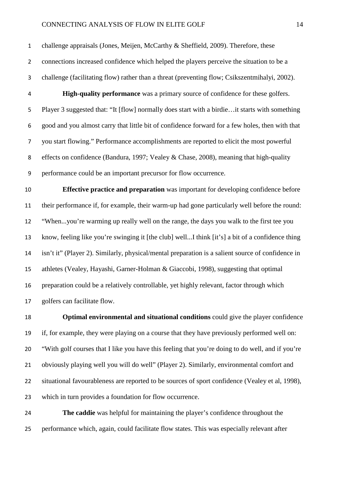challenge appraisals (Jones, Meijen, McCarthy & Sheffield, 2009). Therefore, these connections increased confidence which helped the players perceive the situation to be a challenge (facilitating flow) rather than a threat (preventing flow; Csikszentmihalyi, 2002). **High-quality performance** was a primary source of confidence for these golfers. Player 3 suggested that: "It [flow] normally does start with a birdie…it starts with something good and you almost carry that little bit of confidence forward for a few holes, then with that you start flowing." Performance accomplishments are reported to elicit the most powerful

 effects on confidence (Bandura, 1997; Vealey & Chase, 2008), meaning that high-quality performance could be an important precursor for flow occurrence.

 **Effective practice and preparation** was important for developing confidence before their performance if, for example, their warm-up had gone particularly well before the round: "When...you're warming up really well on the range, the days you walk to the first tee you know, feeling like you're swinging it [the club] well...I think [it's] a bit of a confidence thing isn't it" (Player 2). Similarly, physical/mental preparation is a salient source of confidence in athletes (Vealey, Hayashi, Garner-Holman & Giaccobi, 1998), suggesting that optimal preparation could be a relatively controllable, yet highly relevant, factor through which golfers can facilitate flow.

 **Optimal environmental and situational conditions** could give the player confidence if, for example, they were playing on a course that they have previously performed well on: "With golf courses that I like you have this feeling that you're doing to do well, and if you're obviously playing well you will do well" (Player 2). Similarly, environmental comfort and situational favourableness are reported to be sources of sport confidence (Vealey et al, 1998), which in turn provides a foundation for flow occurrence.

 **The caddie** was helpful for maintaining the player's confidence throughout the performance which, again, could facilitate flow states. This was especially relevant after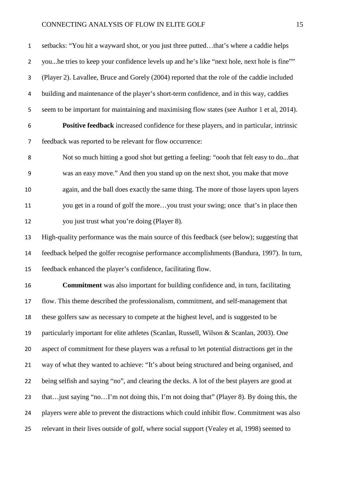setbacks: "You hit a wayward shot, or you just three putted…that's where a caddie helps you...he tries to keep your confidence levels up and he's like "next hole, next hole is fine"" (Player 2). Lavallee, Bruce and Gorely (2004) reported that the role of the caddie included building and maintenance of the player's short-term confidence, and in this way, caddies seem to be important for maintaining and maximising flow states (see Author 1 et al, 2014). **Positive feedback** increased confidence for these players, and in particular, intrinsic feedback was reported to be relevant for flow occurrence: Not so much hitting a good shot but getting a feeling: "oooh that felt easy to do...that was an easy move." And then you stand up on the next shot, you make that move again, and the ball does exactly the same thing. The more of those layers upon layers you get in a round of golf the more…you trust your swing; once that's in place then you just trust what you're doing (Player 8). High-quality performance was the main source of this feedback (see below); suggesting that feedback helped the golfer recognise performance accomplishments (Bandura, 1997). In turn, feedback enhanced the player's confidence, facilitating flow. **Commitment** was also important for building confidence and, in turn, facilitating flow. This theme described the professionalism, commitment, and self-management that these golfers saw as necessary to compete at the highest level, and is suggested to be particularly important for elite athletes (Scanlan, Russell, Wilson & Scanlan, 2003). One aspect of commitment for these players was a refusal to let potential distractions get in the way of what they wanted to achieve: "It's about being structured and being organised, and being selfish and saying "no", and clearing the decks. A lot of the best players are good at that…just saying "no…I'm not doing this, I'm not doing that" (Player 8). By doing this, the players were able to prevent the distractions which could inhibit flow. Commitment was also

relevant in their lives outside of golf, where social support (Vealey et al, 1998) seemed to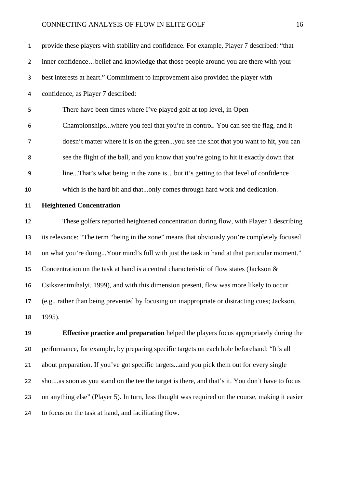| $\mathbf 1$    | provide these players with stability and confidence. For example, Player 7 described: "that   |  |  |  |  |
|----------------|-----------------------------------------------------------------------------------------------|--|--|--|--|
| $\overline{2}$ | inner confidencebelief and knowledge that those people around you are there with your         |  |  |  |  |
| 3              | best interests at heart." Commitment to improvement also provided the player with             |  |  |  |  |
| $\overline{a}$ | confidence, as Player 7 described:                                                            |  |  |  |  |
| 5              | There have been times where I've played golf at top level, in Open                            |  |  |  |  |
| 6              | Championshipswhere you feel that you're in control. You can see the flag, and it              |  |  |  |  |
| $\overline{7}$ | doesn't matter where it is on the greenyou see the shot that you want to hit, you can         |  |  |  |  |
| 8              | see the flight of the ball, and you know that you're going to hit it exactly down that        |  |  |  |  |
| 9              | lineThat's what being in the zone isbut it's getting to that level of confidence              |  |  |  |  |
| 10             | which is the hard bit and thatonly comes through hard work and dedication.                    |  |  |  |  |
| 11             | <b>Heightened Concentration</b>                                                               |  |  |  |  |
| 12             | These golfers reported heightened concentration during flow, with Player 1 describing         |  |  |  |  |
| 13             | its relevance: "The term "being in the zone" means that obviously you're completely focused   |  |  |  |  |
| 14             | on what you're doing Your mind's full with just the task in hand at that particular moment."  |  |  |  |  |
| 15             | Concentration on the task at hand is a central characteristic of flow states (Jackson $\&$    |  |  |  |  |
| 16             | Csikszentmihalyi, 1999), and with this dimension present, flow was more likely to occur       |  |  |  |  |
| 17             | (e.g., rather than being prevented by focusing on inappropriate or distracting cues; Jackson, |  |  |  |  |
| 18             | 1995).                                                                                        |  |  |  |  |

 **Effective practice and preparation** helped the players focus appropriately during the performance, for example, by preparing specific targets on each hole beforehand: "It's all about preparation. If you've got specific targets...and you pick them out for every single shot...as soon as you stand on the tee the target is there, and that's it. You don't have to focus on anything else" (Player 5). In turn, less thought was required on the course, making it easier to focus on the task at hand, and facilitating flow.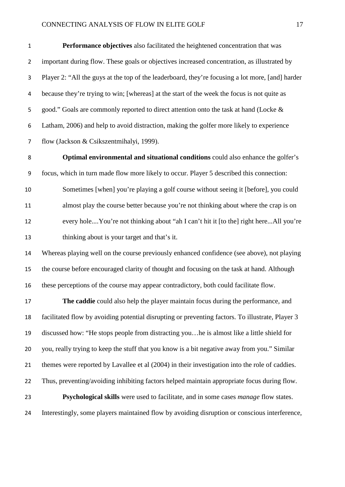**Performance objectives** also facilitated the heightened concentration that was important during flow. These goals or objectives increased concentration, as illustrated by Player 2: "All the guys at the top of the leaderboard, they're focusing a lot more, [and] harder because they're trying to win; [whereas] at the start of the week the focus is not quite as 5 good." Goals are commonly reported to direct attention onto the task at hand (Locke & Latham, 2006) and help to avoid distraction, making the golfer more likely to experience flow (Jackson & Csikszentmihalyi, 1999).

 **Optimal environmental and situational conditions** could also enhance the golfer's focus, which in turn made flow more likely to occur. Player 5 described this connection: Sometimes [when] you're playing a golf course without seeing it [before], you could almost play the course better because you're not thinking about where the crap is on every hole....You're not thinking about "ah I can't hit it [to the] right here...All you're thinking about is your target and that's it.

 Whereas playing well on the course previously enhanced confidence (see above), not playing the course before encouraged clarity of thought and focusing on the task at hand. Although these perceptions of the course may appear contradictory, both could facilitate flow.

 **The caddie** could also help the player maintain focus during the performance, and facilitated flow by avoiding potential disrupting or preventing factors. To illustrate, Player 3 discussed how: "He stops people from distracting you…he is almost like a little shield for you, really trying to keep the stuff that you know is a bit negative away from you." Similar themes were reported by Lavallee et al (2004) in their investigation into the role of caddies. Thus, preventing/avoiding inhibiting factors helped maintain appropriate focus during flow. **Psychological skills** were used to facilitate, and in some cases *manage* flow states. Interestingly, some players maintained flow by avoiding disruption or conscious interference,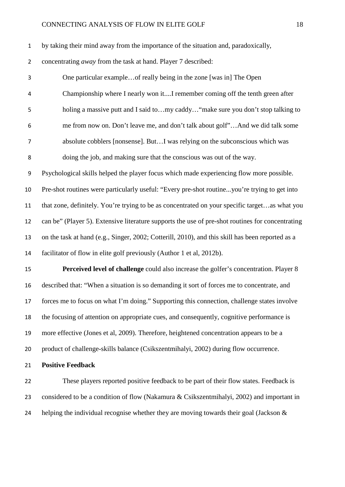| $\mathbf{1}$   | by taking their mind away from the importance of the situation and, paradoxically,               |  |  |  |  |
|----------------|--------------------------------------------------------------------------------------------------|--|--|--|--|
| $\overline{2}$ | concentrating away from the task at hand. Player 7 described:                                    |  |  |  |  |
| 3              | One particular example of really being in the zone [was in] The Open                             |  |  |  |  |
| 4              | Championship where I nearly won itI remember coming off the tenth green after                    |  |  |  |  |
| 5              | holing a massive putt and I said tomy caddy "make sure you don't stop talking to                 |  |  |  |  |
| 6              | me from now on. Don't leave me, and don't talk about golf"And we did talk some                   |  |  |  |  |
| $\overline{7}$ | absolute cobblers [nonsense]. ButI was relying on the subconscious which was                     |  |  |  |  |
| $\,8\,$        | doing the job, and making sure that the conscious was out of the way.                            |  |  |  |  |
| 9              | Psychological skills helped the player focus which made experiencing flow more possible.         |  |  |  |  |
| 10             | Pre-shot routines were particularly useful: "Every pre-shot routineyou're trying to get into     |  |  |  |  |
| 11             | that zone, definitely. You're trying to be as concentrated on your specific targetas what you    |  |  |  |  |
| 12             | can be" (Player 5). Extensive literature supports the use of pre-shot routines for concentrating |  |  |  |  |
| 13             | on the task at hand (e.g., Singer, 2002; Cotterill, 2010), and this skill has been reported as a |  |  |  |  |
| 14             | facilitator of flow in elite golf previously (Author 1 et al, 2012b).                            |  |  |  |  |
| 15             | Perceived level of challenge could also increase the golfer's concentration. Player 8            |  |  |  |  |
| 16             | described that: "When a situation is so demanding it sort of forces me to concentrate, and       |  |  |  |  |
| 17             | forces me to focus on what I'm doing." Supporting this connection, challenge states involve      |  |  |  |  |
| 18             | the focusing of attention on appropriate cues, and consequently, cognitive performance is        |  |  |  |  |
| 19             | more effective (Jones et al, 2009). Therefore, heightened concentration appears to be a          |  |  |  |  |
| 20             | product of challenge-skills balance (Csikszentmihalyi, 2002) during flow occurrence.             |  |  |  |  |
| 21             | <b>Positive Feedback</b>                                                                         |  |  |  |  |
| 22             | These players reported positive feedback to be part of their flow states. Feedback is            |  |  |  |  |
| 23             | considered to be a condition of flow (Nakamura & Csikszentmihalyi, 2002) and important in        |  |  |  |  |

24 helping the individual recognise whether they are moving towards their goal (Jackson &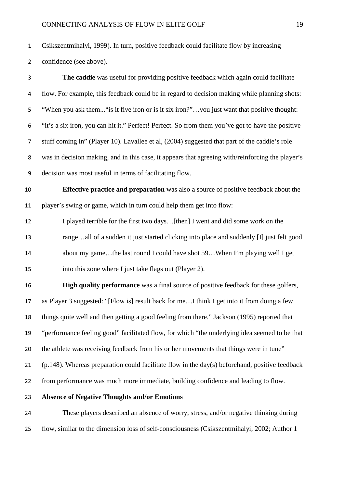Csikszentmihalyi, 1999). In turn, positive feedback could facilitate flow by increasing

confidence (see above).

 **The caddie** was useful for providing positive feedback which again could facilitate flow. For example, this feedback could be in regard to decision making while planning shots: "When you ask them..."is it five iron or is it six iron?"…you just want that positive thought: "it's a six iron, you can hit it." Perfect! Perfect. So from them you've got to have the positive stuff coming in" (Player 10). Lavallee et al, (2004) suggested that part of the caddie's role was in decision making, and in this case, it appears that agreeing with/reinforcing the player's decision was most useful in terms of facilitating flow. **Effective practice and preparation** was also a source of positive feedback about the player's swing or game, which in turn could help them get into flow: I played terrible for the first two days…[then] I went and did some work on the range…all of a sudden it just started clicking into place and suddenly [I] just felt good about my game…the last round I could have shot 59…When I'm playing well I get into this zone where I just take flags out (Player 2). **High quality performance** was a final source of positive feedback for these golfers, as Player 3 suggested: "[Flow is] result back for me…I think I get into it from doing a few things quite well and then getting a good feeling from there." Jackson (1995) reported that "performance feeling good" facilitated flow, for which "the underlying idea seemed to be that the athlete was receiving feedback from his or her movements that things were in tune" (p.148). Whereas preparation could facilitate flow in the day(s) beforehand, positive feedback from performance was much more immediate, building confidence and leading to flow. **Absence of Negative Thoughts and/or Emotions** These players described an absence of worry, stress, and/or negative thinking during

flow, similar to the dimension loss of self-consciousness (Csikszentmihalyi, 2002; Author 1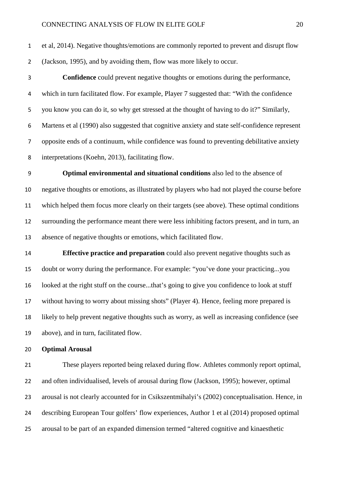et al, 2014). Negative thoughts/emotions are commonly reported to prevent and disrupt flow (Jackson, 1995), and by avoiding them, flow was more likely to occur.

 **Confidence** could prevent negative thoughts or emotions during the performance, which in turn facilitated flow. For example, Player 7 suggested that: "With the confidence you know you can do it, so why get stressed at the thought of having to do it?" Similarly, Martens et al (1990) also suggested that cognitive anxiety and state self-confidence represent opposite ends of a continuum, while confidence was found to preventing debilitative anxiety interpretations (Koehn, 2013), facilitating flow.

 **Optimal environmental and situational conditions** also led to the absence of negative thoughts or emotions, as illustrated by players who had not played the course before which helped them focus more clearly on their targets (see above). These optimal conditions surrounding the performance meant there were less inhibiting factors present, and in turn, an absence of negative thoughts or emotions, which facilitated flow.

 **Effective practice and preparation** could also prevent negative thoughts such as doubt or worry during the performance. For example: "you've done your practicing...you looked at the right stuff on the course...that's going to give you confidence to look at stuff without having to worry about missing shots" (Player 4). Hence, feeling more prepared is likely to help prevent negative thoughts such as worry, as well as increasing confidence (see above), and in turn, facilitated flow.

#### **Optimal Arousal**

 These players reported being relaxed during flow. Athletes commonly report optimal, and often individualised, levels of arousal during flow (Jackson, 1995); however, optimal arousal is not clearly accounted for in Csikszentmihalyi's (2002) conceptualisation. Hence, in describing European Tour golfers' flow experiences, Author 1 et al (2014) proposed optimal arousal to be part of an expanded dimension termed "altered cognitive and kinaesthetic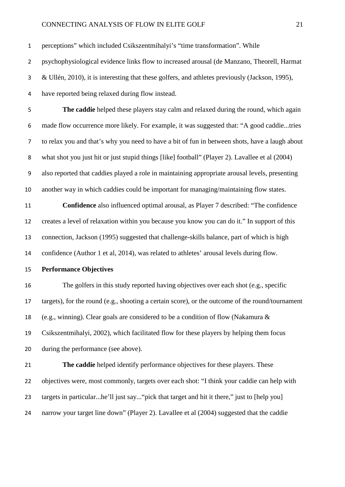perceptions" which included Csikszentmihalyi's "time transformation". While

psychophysiological evidence links flow to increased arousal (de Manzano, Theorell, Harmat

& Ullén, 2010), it is interesting that these golfers, and athletes previously (Jackson, 1995),

have reported being relaxed during flow instead.

 **The caddie** helped these players stay calm and relaxed during the round, which again made flow occurrence more likely. For example, it was suggested that: "A good caddie...tries to relax you and that's why you need to have a bit of fun in between shots, have a laugh about what shot you just hit or just stupid things [like] football" (Player 2). Lavallee et al (2004) also reported that caddies played a role in maintaining appropriate arousal levels, presenting another way in which caddies could be important for managing/maintaining flow states.

 **Confidence** also influenced optimal arousal, as Player 7 described: "The confidence creates a level of relaxation within you because you know you can do it." In support of this connection, Jackson (1995) suggested that challenge-skills balance, part of which is high confidence (Author 1 et al, 2014), was related to athletes' arousal levels during flow.

**Performance Objectives**

 The golfers in this study reported having objectives over each shot (e.g., specific targets), for the round (e.g., shooting a certain score), or the outcome of the round/tournament (e.g., winning). Clear goals are considered to be a condition of flow (Nakamura & Csikszentmihalyi, 2002), which facilitated flow for these players by helping them focus during the performance (see above).

 **The caddie** helped identify performance objectives for these players. These objectives were, most commonly, targets over each shot: "I think your caddie can help with targets in particular...he'll just say..."pick that target and hit it there," just to [help you] narrow your target line down" (Player 2). Lavallee et al (2004) suggested that the caddie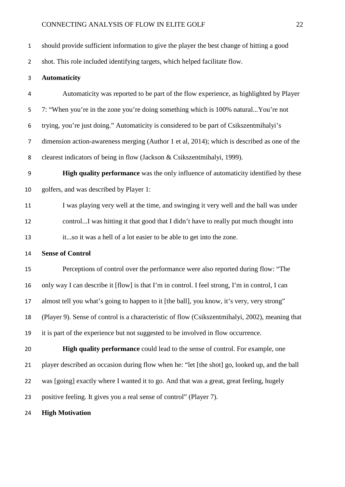should provide sufficient information to give the player the best change of hitting a good

shot. This role included identifying targets, which helped facilitate flow.

#### **Automaticity**

 Automaticity was reported to be part of the flow experience, as highlighted by Player 7: "When you're in the zone you're doing something which is 100% natural...You're not trying, you're just doing." Automaticity is considered to be part of Csikszentmihalyi's dimension action-awareness merging (Author 1 et al, 2014); which is described as one of the clearest indicators of being in flow (Jackson & Csikszentmihalyi, 1999).

 **High quality performance** was the only influence of automaticity identified by these golfers, and was described by Player 1:

11 I was playing very well at the time, and swinging it very well and the ball was under control...I was hitting it that good that I didn't have to really put much thought into it...so it was a hell of a lot easier to be able to get into the zone.

**Sense of Control**

 Perceptions of control over the performance were also reported during flow: "The only way I can describe it [flow] is that I'm in control. I feel strong, I'm in control, I can almost tell you what's going to happen to it [the ball], you know, it's very, very strong" (Player 9). Sense of control is a characteristic of flow (Csikszentmihalyi, 2002), meaning that it is part of the experience but not suggested to be involved in flow occurrence.

 **High quality performance** could lead to the sense of control. For example, one player described an occasion during flow when he: "let [the shot] go, looked up, and the ball was [going] exactly where I wanted it to go. And that was a great, great feeling, hugely positive feeling. It gives you a real sense of control" (Player 7).

**High Motivation**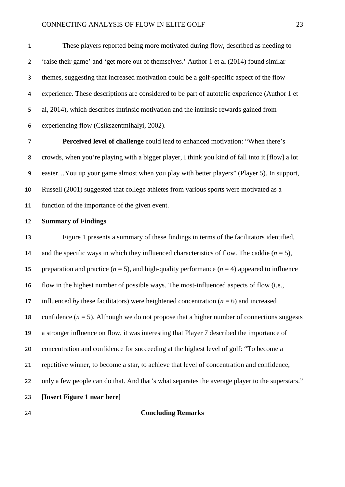These players reported being more motivated during flow, described as needing to 'raise their game' and 'get more out of themselves.' Author 1 et al (2014) found similar themes, suggesting that increased motivation could be a golf-specific aspect of the flow experience. These descriptions are considered to be part of autotelic experience (Author 1 et al, 2014), which describes intrinsic motivation and the intrinsic rewards gained from experiencing flow (Csikszentmihalyi, 2002).

 **Perceived level of challenge** could lead to enhanced motivation: "When there's crowds, when you're playing with a bigger player, I think you kind of fall into it [flow] a lot easier…You up your game almost when you play with better players" (Player 5). In support, Russell (2001) suggested that college athletes from various sports were motivated as a function of the importance of the given event.

#### **Summary of Findings**

 Figure 1 presents a summary of these findings in terms of the facilitators identified, 14 and the specific ways in which they influenced characteristics of flow. The caddie  $(n = 5)$ , 15 preparation and practice  $(n = 5)$ , and high-quality performance  $(n = 4)$  appeared to influence flow in the highest number of possible ways. The most-influenced aspects of flow (i.e., 17 influenced *by* these facilitators) were heightened concentration  $(n = 6)$  and increased 18 confidence  $(n = 5)$ . Although we do not propose that a higher number of connections suggests a stronger influence on flow, it was interesting that Player 7 described the importance of concentration and confidence for succeeding at the highest level of golf: "To become a repetitive winner, to become a star, to achieve that level of concentration and confidence, only a few people can do that. And that's what separates the average player to the superstars." **[Insert Figure 1 near here]**

#### **Concluding Remarks**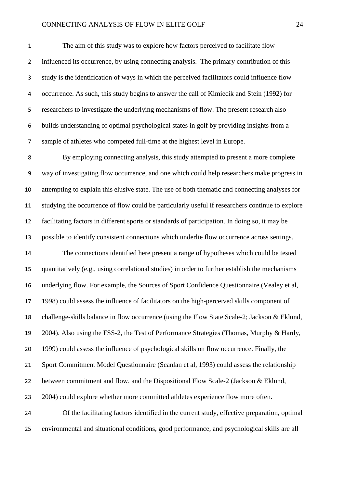The aim of this study was to explore how factors perceived to facilitate flow influenced its occurrence, by using connecting analysis. The primary contribution of this study is the identification of ways in which the perceived facilitators could influence flow occurrence. As such, this study begins to answer the call of Kimiecik and Stein (1992) for researchers to investigate the underlying mechanisms of flow. The present research also builds understanding of optimal psychological states in golf by providing insights from a sample of athletes who competed full-time at the highest level in Europe.

 By employing connecting analysis, this study attempted to present a more complete way of investigating flow occurrence, and one which could help researchers make progress in attempting to explain this elusive state. The use of both thematic and connecting analyses for studying the occurrence of flow could be particularly useful if researchers continue to explore facilitating factors in different sports or standards of participation. In doing so, it may be possible to identify consistent connections which underlie flow occurrence across settings.

 The connections identified here present a range of hypotheses which could be tested quantitatively (e.g., using correlational studies) in order to further establish the mechanisms underlying flow. For example, the Sources of Sport Confidence Questionnaire (Vealey et al, 1998) could assess the influence of facilitators on the high-perceived skills component of challenge-skills balance in flow occurrence (using the Flow State Scale-2; Jackson & Eklund, 2004). Also using the FSS-2, the Test of Performance Strategies (Thomas, Murphy & Hardy, 1999) could assess the influence of psychological skills on flow occurrence. Finally, the Sport Commitment Model Questionnaire (Scanlan et al, 1993) could assess the relationship between commitment and flow, and the Dispositional Flow Scale-2 (Jackson & Eklund, 2004) could explore whether more committed athletes experience flow more often. Of the facilitating factors identified in the current study, effective preparation, optimal environmental and situational conditions, good performance, and psychological skills are all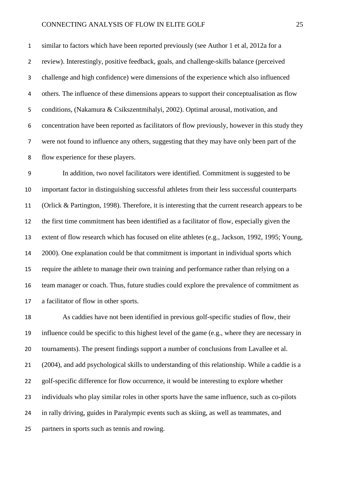similar to factors which have been reported previously (see Author 1 et al, 2012a for a review). Interestingly, positive feedback, goals, and challenge-skills balance (perceived challenge and high confidence) were dimensions of the experience which also influenced others. The influence of these dimensions appears to support their conceptualisation as flow conditions, (Nakamura & Csikszentmihalyi, 2002). Optimal arousal, motivation, and concentration have been reported as facilitators of flow previously, however in this study they were not found to influence any others, suggesting that they may have only been part of the flow experience for these players.

 In addition, two novel facilitators were identified. Commitment is suggested to be important factor in distinguishing successful athletes from their less successful counterparts (Orlick & Partington, 1998). Therefore, it is interesting that the current research appears to be the first time commitment has been identified as a facilitator of flow, especially given the extent of flow research which has focused on elite athletes (e.g., Jackson, 1992, 1995; Young, 2000). One explanation could be that commitment is important in individual sports which require the athlete to manage their own training and performance rather than relying on a team manager or coach. Thus, future studies could explore the prevalence of commitment as a facilitator of flow in other sports.

 As caddies have not been identified in previous golf-specific studies of flow, their influence could be specific to this highest level of the game (e.g., where they are necessary in tournaments). The present findings support a number of conclusions from Lavallee et al. (2004), and add psychological skills to understanding of this relationship. While a caddie is a golf-specific difference for flow occurrence, it would be interesting to explore whether individuals who play similar roles in other sports have the same influence, such as co-pilots in rally driving, guides in Paralympic events such as skiing, as well as teammates, and partners in sports such as tennis and rowing.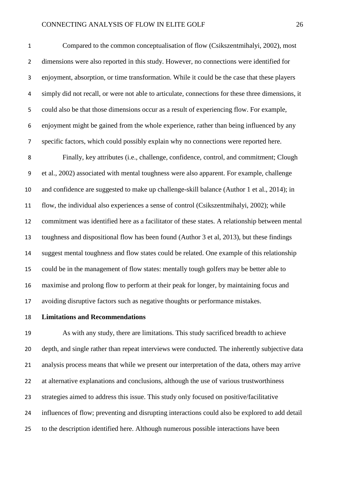Compared to the common conceptualisation of flow (Csikszentmihalyi, 2002), most dimensions were also reported in this study. However, no connections were identified for enjoyment, absorption, or time transformation. While it could be the case that these players simply did not recall, or were not able to articulate, connections for these three dimensions, it could also be that those dimensions occur as a result of experiencing flow. For example, enjoyment might be gained from the whole experience, rather than being influenced by any specific factors, which could possibly explain why no connections were reported here.

 Finally, key attributes (i.e., challenge, confidence, control, and commitment; Clough et al., 2002) associated with mental toughness were also apparent. For example, challenge and confidence are suggested to make up challenge-skill balance (Author 1 et al., 2014); in flow, the individual also experiences a sense of control (Csikszentmihalyi, 2002); while commitment was identified here as a facilitator of these states. A relationship between mental toughness and dispositional flow has been found (Author 3 et al, 2013), but these findings suggest mental toughness and flow states could be related. One example of this relationship could be in the management of flow states: mentally tough golfers may be better able to maximise and prolong flow to perform at their peak for longer, by maintaining focus and avoiding disruptive factors such as negative thoughts or performance mistakes.

## **Limitations and Recommendations**

 As with any study, there are limitations. This study sacrificed breadth to achieve depth, and single rather than repeat interviews were conducted. The inherently subjective data analysis process means that while we present our interpretation of the data, others may arrive at alternative explanations and conclusions, although the use of various trustworthiness strategies aimed to address this issue. This study only focused on positive/facilitative influences of flow; preventing and disrupting interactions could also be explored to add detail to the description identified here. Although numerous possible interactions have been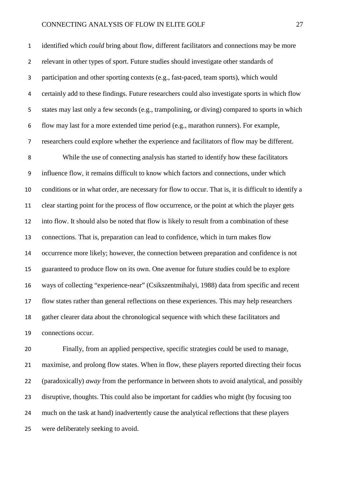identified which *could* bring about flow, different facilitators and connections may be more relevant in other types of sport. Future studies should investigate other standards of participation and other sporting contexts (e.g., fast-paced, team sports), which would certainly add to these findings. Future researchers could also investigate sports in which flow states may last only a few seconds (e.g., trampolining, or diving) compared to sports in which flow may last for a more extended time period (e.g., marathon runners). For example, researchers could explore whether the experience and facilitators of flow may be different. While the use of connecting analysis has started to identify how these facilitators influence flow, it remains difficult to know which factors and connections, under which conditions or in what order, are necessary for flow to occur. That is, it is difficult to identify a clear starting point for the process of flow occurrence, or the point at which the player gets into flow. It should also be noted that flow is likely to result from a combination of these connections. That is, preparation can lead to confidence, which in turn makes flow occurrence more likely; however, the connection between preparation and confidence is not guaranteed to produce flow on its own. One avenue for future studies could be to explore ways of collecting "experience-near" (Csikszentmihalyi, 1988) data from specific and recent flow states rather than general reflections on these experiences. This may help researchers gather clearer data about the chronological sequence with which these facilitators and connections occur.

 Finally, from an applied perspective, specific strategies could be used to manage, maximise, and prolong flow states. When in flow, these players reported directing their focus (paradoxically) *away* from the performance in between shots to avoid analytical, and possibly disruptive, thoughts. This could also be important for caddies who might (by focusing too much on the task at hand) inadvertently cause the analytical reflections that these players were deliberately seeking to avoid.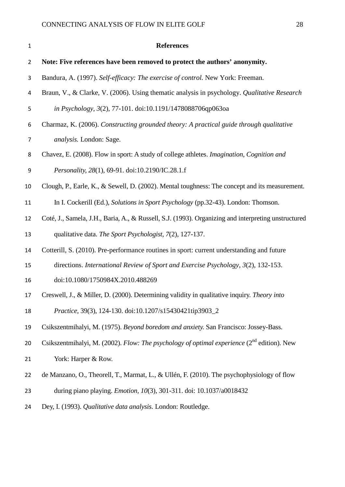| $\mathbf 1$    | <b>References</b>                                                                                      |
|----------------|--------------------------------------------------------------------------------------------------------|
| 2              | Note: Five references have been removed to protect the authors' anonymity.                             |
| 3              | Bandura, A. (1997). Self-efficacy: The exercise of control. New York: Freeman.                         |
| 4              | Braun, V., & Clarke, V. (2006). Using thematic analysis in psychology. Qualitative Research            |
| 5              | in Psychology, 3(2), 77-101. doi:10.1191/1478088706qp063oa                                             |
| 6              | Charmaz, K. (2006). Constructing grounded theory: A practical guide through qualitative                |
| $\overline{7}$ | <i>analysis.</i> London: Sage.                                                                         |
| 8              | Chavez, E. (2008). Flow in sport: A study of college athletes. Imagination, Cognition and              |
| 9              | Personality, 28(1), 69-91. doi:10.2190/IC.28.1.f                                                       |
| 10             | Clough, P., Earle, K., & Sewell, D. (2002). Mental toughness: The concept and its measurement.         |
| 11             | In I. Cockerill (Ed.), Solutions in Sport Psychology (pp.32-43). London: Thomson.                      |
| 12             | Coté, J., Samela, J.H., Baria, A., & Russell, S.J. (1993). Organizing and interpreting unstructured    |
| 13             | qualitative data. The Sport Psychologist, 7(2), 127-137.                                               |
| 14             | Cotterill, S. (2010). Pre-performance routines in sport: current understanding and future              |
| 15             | directions. International Review of Sport and Exercise Psychology, 3(2), 132-153.                      |
| 16             | doi:10.1080/1750984X.2010.488269                                                                       |
| 17             | Creswell, J., & Miller, D. (2000). Determining validity in qualitative inquiry. Theory into            |
| 18             | Practice, 39(3), 124-130. doi:10.1207/s15430421tip3903_2                                               |
| 19             | Csikszentmihalyi, M. (1975). Beyond boredom and anxiety. San Francisco: Jossey-Bass.                   |
| 20             | Csikszentmihalyi, M. (2002). Flow: The psychology of optimal experience (2 <sup>nd</sup> edition). New |
| 21             | York: Harper & Row.                                                                                    |
| 22             | de Manzano, O., Theorell, T., Marmat, L., & Ullén, F. (2010). The psychophysiology of flow             |
| 23             | during piano playing. <i>Emotion</i> , 10(3), 301-311. doi: 10.1037/a0018432                           |
| 24             | Dey, I. (1993). Qualitative data analysis. London: Routledge.                                          |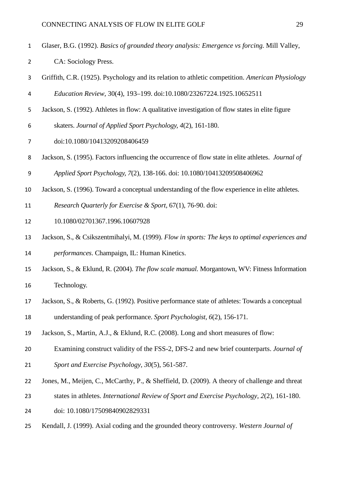- Glaser, B.G. (1992). *Basics of grounded theory analysis: Emergence vs forcing.* Mill Valley,
- CA: Sociology Press.
- Griffith, C.R. (1925). Psychology and its relation to athletic competition. *American Physiology*
- *Education Review,* 30(4), 193–199. doi:10.1080/23267224.1925.10652511
- Jackson, S. (1992). Athletes in flow: A qualitative investigation of flow states in elite figure
- skaters. *Journal of Applied Sport Psychology, 4*(2), 161-180.
- [doi:10.1080/10413209208406459](http://dx.doi.org/10.1080%2F10413209208406459)
- Jackson, S. (1995). Factors influencing the occurrence of flow state in elite athletes. *Journal of*
- *Applied Sport Psychology, 7*(2), 138-166. doi: 10.1080/10413209508406962
- Jackson, S. (1996). [Toward a conceptual understanding of the flow experience in elite athletes.](http://web.ebscohost.com/ehost/viewarticle?data=dGJyMPPp44rp2%2fdV0%2bnjisfk5Ie46bJQt6u1S7Kk63nn5Kx95uXxjL6nsEevra1Krqa3OK%2bouEy0sLNNnsbLPvLo34bx1%2bGM5%2bXsgeKzq0m2rrNQs6yvS7Kc6nns3bt97JziervpsYCk6t9%2fu7fMPt%2fku2vOvrFRtqi2T6Tc7Yrr1%2fJV5OvqhPLb9owA&hid=9)
- *Research Quarterly for Exercise & Sport,* 67(1), 76-90. doi:
- 10.1080/02701367.1996.10607928
- Jackson, S., & Csikszentmihalyi, M. (1999). *Flow in sports: The keys to optimal experiences and performances*. Champaign, IL: Human Kinetics.
- Jackson, S., & Eklund, R. (2004). *The flow scale manual.* Morgantown, WV: Fitness Information Technology.
- Jackson, S., & Roberts, G. (1992). Positive performance state of athletes: Towards a conceptual
- understanding of peak performance. *Sport Psychologist, 6*(2), 156-171.
- Jackson, S., Martin, A.J., & Eklund, R.C. (2008). Long and short measures of flow:
- Examining construct validity of the FSS-2, DFS-2 and new brief counterparts. *Journal of*
- *Sport and Exercise Psychology, 30*(5), 561-587.
- Jones, M., Meijen, C., McCarthy, P., & Sheffield, D. (2009). A theory of challenge and threat
- states in athletes. *International Review of Sport and Exercise Psychology, 2*(2), 161-180.
- doi: 10.1080/17509840902829331
- Kendall, J. (1999). Axial coding and the grounded theory controversy. *Western Journal of*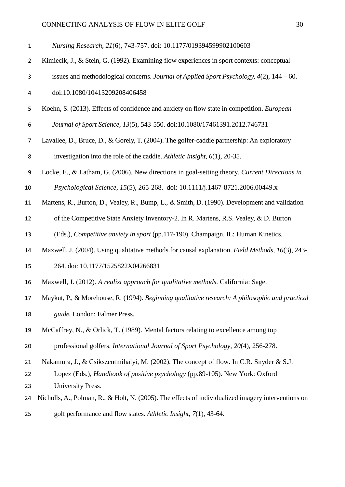| $\mathbf{1}$   | Nursing Research, 21(6), 743-757. doi: 10.1177/019394599902100603                                   |
|----------------|-----------------------------------------------------------------------------------------------------|
| $\overline{2}$ | Kimiecik, J., & Stein, G. (1992). Examining flow experiences in sport contexts: conceptual          |
| 3              | issues and methodological concerns. Journal of Applied Sport Psychology, $4(2)$ , $144 - 60$ .      |
| 4              | doi:10.1080/10413209208406458                                                                       |
| 5              | Koehn, S. (2013). Effects of confidence and anxiety on flow state in competition. <i>European</i>   |
| 6              | Journal of Sport Science, 13(5), 543-550. doi:10.1080/17461391.2012.746731                          |
| 7              | Lavallee, D., Bruce, D., & Gorely, T. (2004). The golfer-caddie partnership: An exploratory         |
| 8              | investigation into the role of the caddie. Athletic Insight, $6(1)$ , 20-35.                        |
| 9              | Locke, E., & Latham, G. (2006). New directions in goal-setting theory. Current Directions in        |
| 10             | Psychological Science, 15(5), 265-268. doi: 10.1111/j.1467-8721.2006.00449.x                        |
| 11             | Martens, R., Burton, D., Vealey, R., Bump, L., & Smith, D. (1990). Development and validation       |
| 12             | of the Competitive State Anxiety Inventory-2. In R. Martens, R.S. Vealey, & D. Burton               |
| 13             | (Eds.), Competitive anxiety in sport (pp.117-190). Champaign, IL: Human Kinetics.                   |
| 14             | Maxwell, J. (2004). Using qualitative methods for causal explanation. Field Methods, 16(3), 243-    |
| 15             | 264. doi: 10.1177/1525822X04266831                                                                  |
| 16             | Maxwell, J. (2012). A realist approach for qualitative methods. California: Sage.                   |
| 17             | Maykut, P., & Morehouse, R. (1994). Beginning qualitative research: A philosophic and practical     |
| 18             | guide. London: Falmer Press.                                                                        |
| 19             | McCaffrey, N., & Orlick, T. (1989). Mental factors relating to excellence among top                 |
| 20             | professional golfers. International Journal of Sport Psychology, 20(4), 256-278.                    |
| 21             | Nakamura, J., & Csikszentmihalyi, M. (2002). The concept of flow. In C.R. Snyder & S.J.             |
| 22             | Lopez (Eds.), Handbook of positive psychology (pp.89-105). New York: Oxford                         |
| 23             | University Press.                                                                                   |
| 24             | Nicholls, A., Polman, R., & Holt, N. (2005). The effects of individualized imagery interventions on |
| 25             | golf performance and flow states. Athletic Insight, 7(1), 43-64.                                    |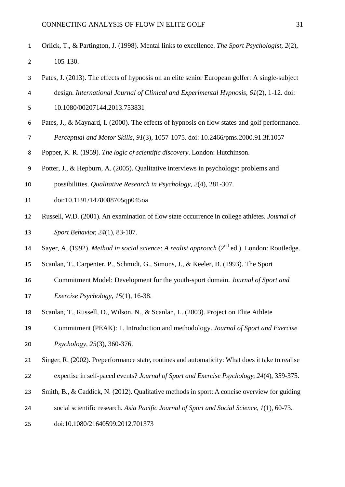- Orlick, T., & Partington, J. (1998). Mental links to excellence. *The Sport Psychologist, 2*(2), 105-130.
- Pates, J. (2013). The effects of hypnosis on an elite senior European golfer: A single-subject
- design. *International Journal of Clinical and Experimental Hypnosis, 61*(2), 1-12. doi:
- [10.1080/00207144.2013.753831](http://dx.doi.org/10.1080/00207144.2013.753831)
- Pates, J., & Maynard, I. (2000). The effects of hypnosis on flow states and golf performance. *Perceptual and Motor Skills, 91*(3), 1057-1075. doi: 10.2466/pms.2000.91.3f.1057
- Popper, K. R. (1959). *The logic of scientific discovery*. London: Hutchinson.
- Potter, J., & Hepburn, A. (2005). Qualitative interviews in psychology: problems and
- possibilities. *Qualitative Research in Psychology*, *2*(4), 281-307.
- doi:10.1191/1478088705qp045oa
- Russell, W.D. (2001). An examination of flow state occurrence in college athletes. *Journal of Sport Behavior, 24*(1), 83-107.
- 14 Sayer, A. (1992). *Method in social science: A realist approach* (2<sup>nd</sup> ed.). London: Routledge.
- Scanlan, T., Carpenter, P., Schmidt, G., Simons, J., & Keeler, B. (1993). The Sport
- Commitment Model: Development for the youth-sport domain. *Journal of Sport and*
- *Exercise Psychology, 15*(1), 16-38.
- Scanlan, T., Russell, D., Wilson, N., & Scanlan, L. (2003). Project on Elite Athlete
- Commitment (PEAK): 1. Introduction and methodology. *Journal of Sport and Exercise*
- *Psychology, 25*(3), 360-376.
- Singer, R. (2002). Preperformance state, routines and automaticity: What does it take to realise
- expertise in self-paced events? *Journal of Sport and Exercise Psychology, 24*(4), 359-375.
- Smith, B., & Caddick, N. (2012). Qualitative methods in sport: A concise overview for guiding
- social scientific research. *Asia Pacific Journal of Sport and Social Science, 1*(1), 60-73.
- doi:10.1080/21640599.2012.701373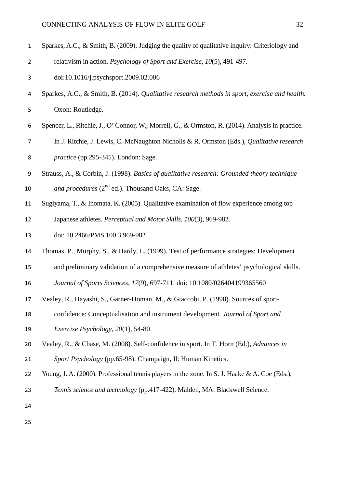- Sparkes, A.C., & Smith, B. (2009). Judging the quality of qualitative inquiry: Criteriology and
- relativism in action. *Psychology of Sport and Exercise, 10*(5), 491-497.
- [doi:10.1016/j.psychsport.2009.02.006](http://dx.doi.org/10.1016%2Fj.psychsport.2009.02.006)
- Sparkes, A.C., & Smith, B. (2014). *Qualitative research methods in sport, exercise and health.*  Oxon: Routledge.
- Spencer, L., Ritchie, J., O' Connor, W., Morrell, G., & Ormston, R. (2014). Analysis in practice.
- In J. Ritchie, J. Lewis, C. McNaughton Nicholls & R. Ormston (Eds.), *Qualitative research*

*practice* (pp.295-345). London: Sage.

- Strauss, A., & Corbin, J. (1998). *Basics of qualitative research: Grounded theory technique*
- 10 and procedures  $(2^{nd}$  ed.). Thousand Oaks, CA: Sage.
- Sugiyama, T., & Inomata, K. (2005). Qualitative examination of flow experience among top Japanese athletes. *Perceptual and Motor Skills, 100*(3), 969-982.
- doi: 10.2466/PMS.100.3.969-982
- Thomas, P., Murphy, S., & Hardy, L. (1999). Test of performance strategies: Development
- and preliminary validation of a comprehensive measure of athletes' psychological skills.
- *Journal of Sports Sciences, 17*(9), 697-711. doi: 10.1080/026404199365560
- Vealey, R., Hayashi, S., Garner-Homan, M., & Giaccobi, P. (1998). Sources of sport-
- confidence: Conceptualisation and instrument development. *Journal of Sport and*
- *Exercise Psychology, 20*(1), 54-80.
- Vealey, R., & Chase, M. (2008). Self-confidence in sport. In T. Horn (Ed.), *Advances in*

*Sport Psychology* (pp.65-98). Champaign, Il: Human Kinetics.

- Young, J. A. (2000). Professional tennis players in the zone. In S. J. Haake & A. Coe (Eds.),
- *Tennis science and technology* (pp.417-422). Malden, MA: Blackwell Science.
- 
-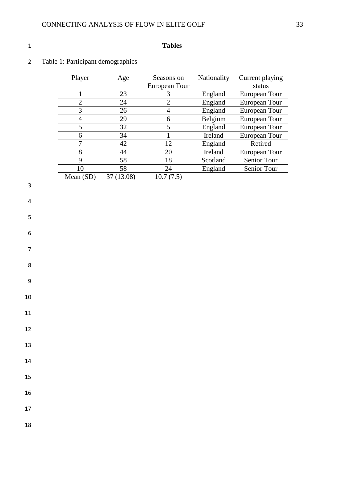## **Tables**

# Table 1: Participant demographics

| Player    | Age        | Seasons on    | Nationality | Current playing |
|-----------|------------|---------------|-------------|-----------------|
|           |            | European Tour |             | status          |
|           | 23         |               | England     | European Tour   |
| 2         | 24         | 2             | England     | European Tour   |
| 3         | 26         | 4             | England     | European Tour   |
| 4         | 29         | 6             | Belgium     | European Tour   |
| 5         | 32         | 5             | England     | European Tour   |
| 6         | 34         |               | Ireland     | European Tour   |
|           | 42         | 12            | England     | Retired         |
| 8         | 44         | 20            | Ireland     | European Tour   |
| 9         | 58         | 18            | Scotland    | Senior Tour     |
| 10        | 58         | 24            | England     | Senior Tour     |
| Mean (SD) | 37 (13.08) | 10.7(7.5)     |             |                 |
|           |            |               |             |                 |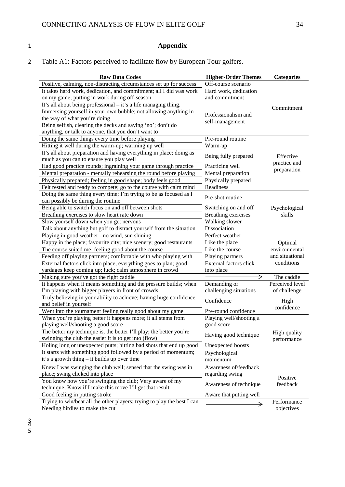# 1 **Appendix**

2 Table A1: Factors perceived to facilitate flow by European Tour golfers.

| <b>Raw Data Codes</b>                                                                                     | <b>Higher-Order Themes</b> | <b>Categories</b> |
|-----------------------------------------------------------------------------------------------------------|----------------------------|-------------------|
| Positive, calming, non-distracting circumstances set up for success                                       | Off-course scenario        |                   |
| It takes hard work, dedication, and commitment; all I did was work                                        | Hard work, dedication      |                   |
| on my game; putting in work during off-season                                                             | and commitment             |                   |
| It's all about being professional - it's a life managing thing.                                           |                            | Commitment        |
| Immersing yourself in your own bubble; not allowing anything in                                           | Professionalism and        |                   |
| the way of what you're doing                                                                              | self-management            |                   |
| Being selfish, clearing the decks and saying 'no'; don't do                                               |                            |                   |
| anything, or talk to anyone, that you don't want to                                                       |                            |                   |
| Doing the same things every time before playing                                                           | Pre-round routine          |                   |
| Hitting it well during the warm-up; warming up well                                                       | Warm-up                    |                   |
| It's all about preparation and having everything in place; doing as                                       | Being fully prepared       | Effective         |
| much as you can to ensure you play well                                                                   |                            | practice and      |
| Had good practice rounds; ingraining your game through practice                                           | Practicing well            | preparation       |
| Mental preparation - mentally rehearsing the round before playing                                         | Mental preparation         |                   |
| Physically prepared; feeling in good shape; body feels good                                               | Physically prepared        |                   |
| Felt rested and ready to compete; go to the course with calm mind                                         | Readiness                  |                   |
| Doing the same thing every time; I'm trying to be as focused as I                                         | Pre-shot routine           |                   |
| can possibly be during the routine                                                                        |                            |                   |
| Being able to switch focus on and off between shots                                                       | Switching on and off       | Psychological     |
| Breathing exercises to slow heart rate down                                                               | <b>Breathing exercises</b> | skills            |
| Slow yourself down when you get nervous                                                                   | Walking slower             |                   |
| Talk about anything but golf to distract yourself from the situation                                      | Dissociation               |                   |
| Playing in good weather - no wind, sun shining                                                            | Perfect weather            |                   |
| Happy in the place; favourite city; nice scenery; good restaurants                                        | Like the place             | Optimal           |
| The course suited me; feeling good about the course                                                       | Like the course            | environmental     |
| Feeding off playing partners; comfortable with who playing with                                           | Playing partners           | and situational   |
| External factors click into place, everything goes to plan; good                                          | External factors click     | conditions        |
| yardages keep coming up; luck; calm atmosphere in crowd                                                   | into place                 |                   |
| Making sure you've got the right caddie                                                                   | →                          | The caddie        |
| It happens when it means something and the pressure builds; when                                          | Demanding or               | Perceived level   |
| I'm playing with bigger players in front of crowds                                                        | challenging situations     | of challenge      |
| Truly believing in your ability to achieve; having huge confidence                                        | Confidence                 | High              |
| and belief in yourself                                                                                    |                            | confidence        |
| Went into the tournament feeling really good about my game                                                | Pre-round confidence       |                   |
| When you're playing better it happens more; it all stems from                                             | Playing well/shooting a    |                   |
| playing well/shooting a good score<br>The better my technique is, the better I'll play; the better you're | good score                 |                   |
| swinging the club the easier it is to get into (flow)                                                     | Having good technique      | High quality      |
| Holing long or unexpected putts; hitting bad shots that end up good                                       | Unexpected boosts          | performance       |
| It starts with something good followed by a period of momentum;                                           | Psychological              |                   |
| it's a growth thing - it builds up over time                                                              | momentum                   |                   |
| Knew I was swinging the club well; sensed that the swing was in                                           | Awareness of/feedback      |                   |
| place; swing clicked into place                                                                           | regarding swing            |                   |
| You know how you're swinging the club; Very aware of my                                                   |                            | Positive          |
| technique; Know if I make this move I'll get that result                                                  | Awareness of technique     | feedback          |
| Good feeling in putting stroke                                                                            | Aware that putting well    |                   |
| Trying to win/beat all the other players; trying to play the best I can                                   |                            | Performance       |
| Needing birdies to make the cut                                                                           | →                          | objectives        |